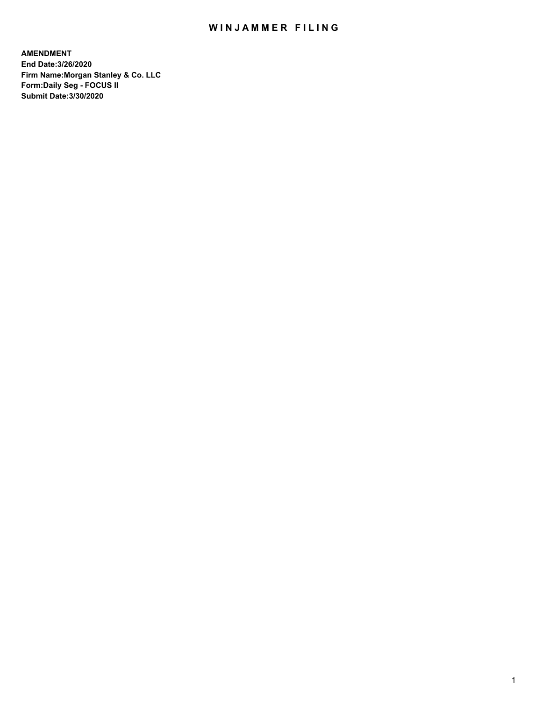## WIN JAMMER FILING

**AMENDMENT End Date:3/26/2020 Firm Name:Morgan Stanley & Co. LLC Form:Daily Seg - FOCUS II Submit Date:3/30/2020**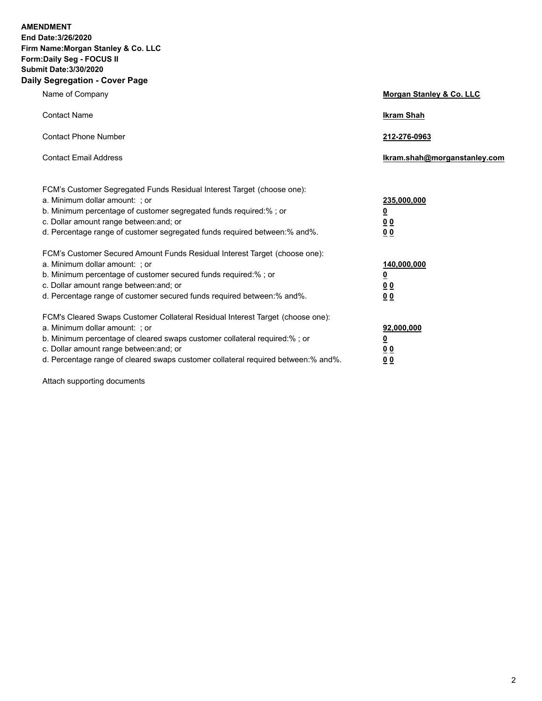**AMENDMENT** 

**End Date:3/26/2020 Firm Name:Morgan Stanley & Co. LLC Form:Daily Seg - FOCUS II Submit Date:3/30/2020 Daily Segregation - Cover Page**

| y Jegregation - Cover rage                                                        |                              |
|-----------------------------------------------------------------------------------|------------------------------|
| Name of Company                                                                   | Morgan Stanley & Co. LLC     |
| <b>Contact Name</b>                                                               | <b>Ikram Shah</b>            |
| <b>Contact Phone Number</b>                                                       | 212-276-0963                 |
| <b>Contact Email Address</b>                                                      | Ikram.shah@morganstanley.com |
| FCM's Customer Segregated Funds Residual Interest Target (choose one):            |                              |
| a. Minimum dollar amount: ; or                                                    | 235,000,000                  |
| b. Minimum percentage of customer segregated funds required:% ; or                | <u>0</u>                     |
| c. Dollar amount range between: and; or                                           | <u>00</u>                    |
| d. Percentage range of customer segregated funds required between:% and%.         | 0 <sup>0</sup>               |
| FCM's Customer Secured Amount Funds Residual Interest Target (choose one):        |                              |
| a. Minimum dollar amount: ; or                                                    | 140,000,000                  |
| b. Minimum percentage of customer secured funds required:%; or                    | <u>0</u>                     |
| c. Dollar amount range between: and; or                                           | <u>00</u>                    |
| d. Percentage range of customer secured funds required between:% and%.            | 0 <sup>0</sup>               |
| FCM's Cleared Swaps Customer Collateral Residual Interest Target (choose one):    |                              |
| a. Minimum dollar amount: ; or                                                    | 92,000,000                   |
| b. Minimum percentage of cleared swaps customer collateral required:%; or         | <u>0</u>                     |
| c. Dollar amount range between: and; or                                           | 00                           |
| d. Percentage range of cleared swaps customer collateral required between:% and%. | 00                           |

Attach supporting documents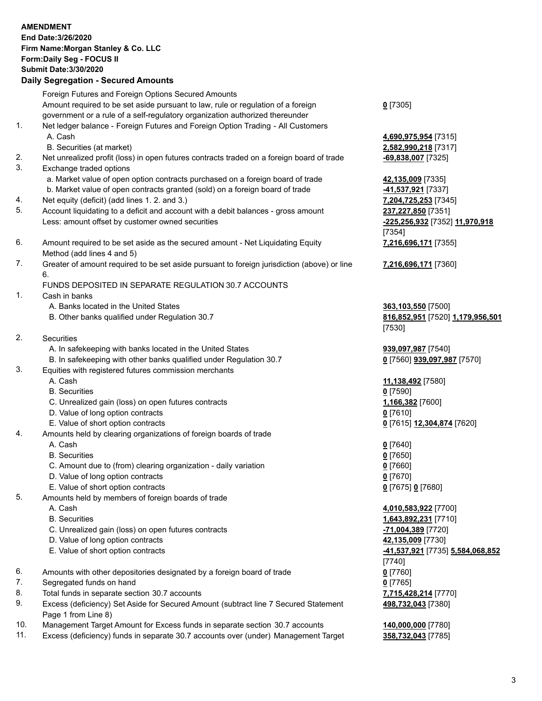|     | <b>AMENDMENT</b><br>End Date: 3/26/2020<br>Firm Name: Morgan Stanley & Co. LLC<br>Form: Daily Seg - FOCUS II<br><b>Submit Date: 3/30/2020</b><br><b>Daily Segregation - Secured Amounts</b> |                                                      |
|-----|---------------------------------------------------------------------------------------------------------------------------------------------------------------------------------------------|------------------------------------------------------|
|     | Foreign Futures and Foreign Options Secured Amounts                                                                                                                                         |                                                      |
|     | Amount required to be set aside pursuant to law, rule or regulation of a foreign<br>government or a rule of a self-regulatory organization authorized thereunder                            | $0$ [7305]                                           |
| 1.  | Net ledger balance - Foreign Futures and Foreign Option Trading - All Customers<br>A. Cash                                                                                                  | 4,690,975,954 [7315]                                 |
| 2.  | B. Securities (at market)<br>Net unrealized profit (loss) in open futures contracts traded on a foreign board of trade                                                                      | 2,582,990,218 [7317]                                 |
| 3.  | Exchange traded options                                                                                                                                                                     | -69,838,007 [7325]                                   |
|     | a. Market value of open option contracts purchased on a foreign board of trade<br>b. Market value of open contracts granted (sold) on a foreign board of trade                              | 42,135,009 [7335]<br><u>-41,537,921</u> [7337]       |
| 4.  | Net equity (deficit) (add lines 1. 2. and 3.)                                                                                                                                               | 7,204,725,253 [7345]                                 |
| 5.  | Account liquidating to a deficit and account with a debit balances - gross amount<br>Less: amount offset by customer owned securities                                                       | 237,227,850 [7351]<br>-225,256,932 [7352] 11,970,918 |
| 6.  |                                                                                                                                                                                             | [7354]                                               |
|     | Amount required to be set aside as the secured amount - Net Liquidating Equity<br>Method (add lines 4 and 5)                                                                                | 7,216,696,171 [7355]                                 |
| 7.  | Greater of amount required to be set aside pursuant to foreign jurisdiction (above) or line<br>6.                                                                                           | 7,216,696,171 [7360]                                 |
| 1.  | FUNDS DEPOSITED IN SEPARATE REGULATION 30.7 ACCOUNTS<br>Cash in banks                                                                                                                       |                                                      |
|     | A. Banks located in the United States                                                                                                                                                       | 363,103,550 [7500]                                   |
|     | B. Other banks qualified under Regulation 30.7                                                                                                                                              | 816,852,951 [7520] 1,179,956,501<br>[7530]           |
| 2.  | Securities                                                                                                                                                                                  |                                                      |
|     | A. In safekeeping with banks located in the United States                                                                                                                                   | 939,097,987 [7540]                                   |
|     | B. In safekeeping with other banks qualified under Regulation 30.7                                                                                                                          | 0 [7560] 939,097,987 [7570]                          |
| 3.  | Equities with registered futures commission merchants<br>A. Cash                                                                                                                            | 11,138,492 [7580]                                    |
|     | <b>B.</b> Securities                                                                                                                                                                        | $0$ [7590]                                           |
|     | C. Unrealized gain (loss) on open futures contracts                                                                                                                                         | 1,166,382 [7600]                                     |
|     | D. Value of long option contracts                                                                                                                                                           | $0$ [7610]                                           |
|     | E. Value of short option contracts                                                                                                                                                          | 0 [7615] 12,304,874 [7620]                           |
| 4.  | Amounts held by clearing organizations of foreign boards of trade                                                                                                                           |                                                      |
|     | A. Cash                                                                                                                                                                                     | $0$ [7640]                                           |
|     | <b>B.</b> Securities                                                                                                                                                                        | $0$ [7650]                                           |
|     | C. Amount due to (from) clearing organization - daily variation<br>D. Value of long option contracts                                                                                        | $0$ [7660]<br>$0$ [7670]                             |
|     | E. Value of short option contracts                                                                                                                                                          | 0 [7675] 0 [7680]                                    |
| 5.  | Amounts held by members of foreign boards of trade                                                                                                                                          |                                                      |
|     | A. Cash                                                                                                                                                                                     | 4,010,583,922 [7700]                                 |
|     | <b>B.</b> Securities                                                                                                                                                                        | 1,643,892,231 [7710]                                 |
|     | C. Unrealized gain (loss) on open futures contracts                                                                                                                                         | -71,004,389 [7720]                                   |
|     | D. Value of long option contracts                                                                                                                                                           | 42,135,009 [7730]                                    |
|     | E. Value of short option contracts                                                                                                                                                          | -41,537,921 [7735] 5,584,068,852<br>[7740]           |
| 6.  | Amounts with other depositories designated by a foreign board of trade                                                                                                                      | 0 [7760]                                             |
| 7.  | Segregated funds on hand                                                                                                                                                                    | $0$ [7765]                                           |
| 8.  | Total funds in separate section 30.7 accounts                                                                                                                                               | 7,715,428,214 [7770]                                 |
| 9.  | Excess (deficiency) Set Aside for Secured Amount (subtract line 7 Secured Statement<br>Page 1 from Line 8)                                                                                  | 498,732,043 [7380]                                   |
| 10. | Management Target Amount for Excess funds in separate section 30.7 accounts                                                                                                                 | 140,000,000 [7780]                                   |
| 11. | Excess (deficiency) funds in separate 30.7 accounts over (under) Management Target                                                                                                          | 358,732,043 [7785]                                   |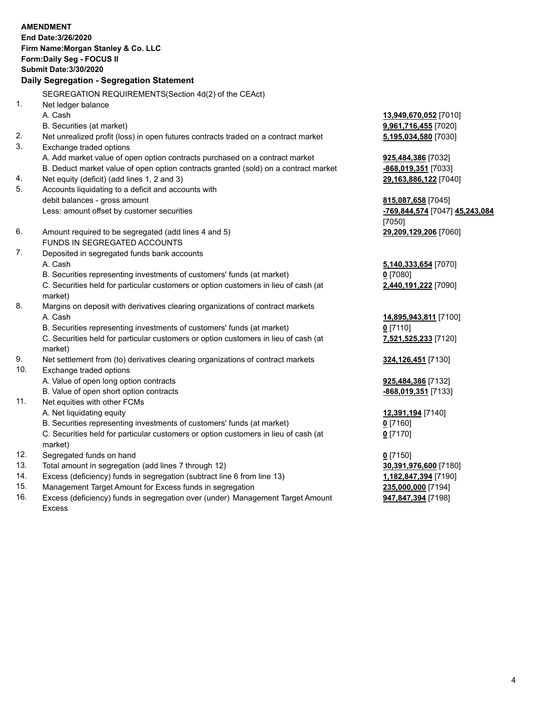|     | <b>AMENDMENT</b><br>End Date: 3/26/2020<br>Firm Name: Morgan Stanley & Co. LLC<br>Form: Daily Seg - FOCUS II<br><b>Submit Date: 3/30/2020</b><br>Daily Segregation - Segregation Statement |                                |
|-----|--------------------------------------------------------------------------------------------------------------------------------------------------------------------------------------------|--------------------------------|
|     | SEGREGATION REQUIREMENTS(Section 4d(2) of the CEAct)                                                                                                                                       |                                |
| 1.  | Net ledger balance                                                                                                                                                                         |                                |
|     | A. Cash                                                                                                                                                                                    | 13,949,670,052 [7010]          |
|     | B. Securities (at market)                                                                                                                                                                  | 9,961,716,455 [7020]           |
| 2.  | Net unrealized profit (loss) in open futures contracts traded on a contract market                                                                                                         | 5,195,034,580 [7030]           |
| 3.  | Exchange traded options                                                                                                                                                                    |                                |
|     | A. Add market value of open option contracts purchased on a contract market                                                                                                                | 925,484,386 [7032]             |
|     | B. Deduct market value of open option contracts granted (sold) on a contract market                                                                                                        | -868,019,351 [7033]            |
| 4.  | Net equity (deficit) (add lines 1, 2 and 3)                                                                                                                                                | 29,163,886,122 [7040]          |
| 5.  | Accounts liquidating to a deficit and accounts with                                                                                                                                        |                                |
|     | debit balances - gross amount                                                                                                                                                              | 815,087,658 [7045]             |
|     | Less: amount offset by customer securities                                                                                                                                                 | -769,844,574 [7047] 45,243,084 |
|     |                                                                                                                                                                                            | [7050]                         |
| 6.  | Amount required to be segregated (add lines 4 and 5)                                                                                                                                       | 29,209,129,206 [7060]          |
|     | FUNDS IN SEGREGATED ACCOUNTS                                                                                                                                                               |                                |
| 7.  | Deposited in segregated funds bank accounts                                                                                                                                                |                                |
|     | A. Cash                                                                                                                                                                                    | 5,140,333,654 [7070]           |
|     | B. Securities representing investments of customers' funds (at market)                                                                                                                     | $0$ [7080]                     |
|     | C. Securities held for particular customers or option customers in lieu of cash (at<br>market)                                                                                             | 2,440,191,222 [7090]           |
| 8.  | Margins on deposit with derivatives clearing organizations of contract markets                                                                                                             |                                |
|     | A. Cash                                                                                                                                                                                    | 14,895,943,811 [7100]          |
|     | B. Securities representing investments of customers' funds (at market)                                                                                                                     | $0$ [7110]                     |
|     | C. Securities held for particular customers or option customers in lieu of cash (at<br>market)                                                                                             | 7,521,525,233 [7120]           |
| 9.  | Net settlement from (to) derivatives clearing organizations of contract markets                                                                                                            | 324,126,451 [7130]             |
| 10. | Exchange traded options                                                                                                                                                                    |                                |
|     | A. Value of open long option contracts                                                                                                                                                     | 925,484,386 [7132]             |
|     | B. Value of open short option contracts                                                                                                                                                    | -868,019,351 [7133]            |
| 11. | Net equities with other FCMs                                                                                                                                                               |                                |
|     | A. Net liquidating equity                                                                                                                                                                  | 12,391,194 [7140]              |
|     | B. Securities representing investments of customers' funds (at market)                                                                                                                     | $0$ [7160]                     |
|     | C. Securities held for particular customers or option customers in lieu of cash (at<br>market)                                                                                             | $0$ [7170]                     |
| 12. | Segregated funds on hand                                                                                                                                                                   | $0$ [7150]                     |
| 13. | Total amount in segregation (add lines 7 through 12)                                                                                                                                       | 30,391,976,600 [7180]          |
| 14. | Excess (deficiency) funds in segregation (subtract line 6 from line 13)                                                                                                                    | 1,182,847,394 [7190]           |
|     |                                                                                                                                                                                            |                                |

- 
- 15. Management Target Amount for Excess funds in segregation<br>16. Excess (deficiency) funds in segregation over (under) Management Target Amount **235,000,000** [7198] Excess (deficiency) funds in segregation over (under) Management Target Amount Excess

**947,847,394** [7198]